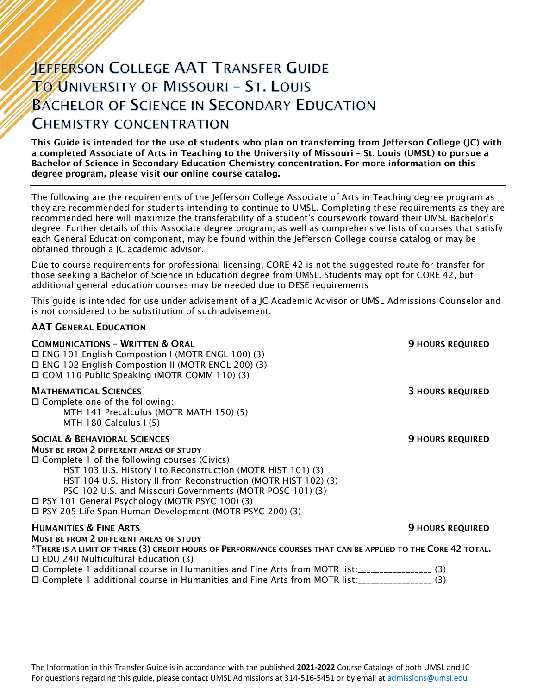# **JEFFERSON COLLEGE AAT TRANSFER GUIDE TO UNIVERSITY OF MISSOURI - ST. LOUIS BACHELOR OF SCIENCE IN SECONDARY EDUCATION CHEMISTRY CONCENTRATION**

This Guide is intended for the use of students who plan on transferring from Jefferson College (JC) with a completed Associate of Arts in Teaching to the University of Missouri – St. Louis (UMSL) to pursue a Bachelor of Science in Secondary Education Chemistry concentration. For more information on this degree program, please visit our online course catalog.

The following are the requirements of the Jefferson College Associate of Arts in Teaching degree program as they are recommended for students intending to continue to UMSL. Completing these requirements as they are recommended here will maximize the transferability of a student's coursework toward their UMSL Bachelor's degree. Further details of this Associate degree program, as well as comprehensive lists of courses that satisfy each General Education component, may be found within the Jefferson College course catalog or may be obtained through a JC academic advisor.

Due to course requirements for professional licensing, CORE 42 is not the suggested route for transfer for those seeking a Bachelor of Science in Education degree from UMSL. Students may opt for CORE 42, but additional general education courses may be needed due to DESE requirements

This guide is intended for use under advisement of a JC Academic Advisor or UMSL Admissions Counselor and is not considered to be substitution of such advisement.

#### AAT GENERAL EDUCATION

| <b>COMMUNICATIONS - WRITTEN &amp; ORAL</b><br>$\Box$ ENG 101 English Compostion I (MOTR ENGL 100) (3)<br>□ ENG 102 English Compostion II (MOTR ENGL 200) (3)<br>□ COM 110 Public Speaking (MOTR COMM 110) (3)                                                                                                                                                                                                                                                     | <b>9 HOURS REQUIRED</b> |
|-------------------------------------------------------------------------------------------------------------------------------------------------------------------------------------------------------------------------------------------------------------------------------------------------------------------------------------------------------------------------------------------------------------------------------------------------------------------|-------------------------|
| <b>MATHEMATICAL SCIENCES</b><br>$\Box$ Complete one of the following:<br>MTH 141 Precalculus (MOTR MATH 150) (5)<br>MTH 180 Calculus I (5)                                                                                                                                                                                                                                                                                                                        | <b>3 HOURS REQUIRED</b> |
| <b>SOCIAL &amp; BEHAVIORAL SCIENCES</b><br><b>MUST BE FROM 2 DIFFERENT AREAS OF STUDY</b><br>$\Box$ Complete 1 of the following courses (Civics)<br>HST 103 U.S. History I to Reconstruction (MOTR HIST 101) (3)<br>HST 104 U.S. History II from Reconstruction (MOTR HIST 102) (3)<br>PSC 102 U.S. and Missouri Governments (MOTR POSC 101) (3)<br>□ PSY 101 General Psychology (MOTR PSYC 100) (3)<br>□ PSY 205 Life Span Human Development (MOTR PSYC 200) (3) | <b>9 HOURS REQUIRED</b> |
| <b>HUMANITIES &amp; FINE ARTS</b>                                                                                                                                                                                                                                                                                                                                                                                                                                 | <b>9 HOURS REQUIRED</b> |
| MUST BE FROM 2 DIFFERENT AREAS OF STUDY<br>*THERE IS A LIMIT OF THREE (3) CREDIT HOURS OF PERFORMANCE COURSES THAT CAN BE APPLIED TO THE CORE 42 TOTAL.<br>$\Box$ EDU 240 Multicultural Education (3)                                                                                                                                                                                                                                                             |                         |
| □ Complete 1 additional course in Humanities and Fine Arts from MOTR list:__________________(3)<br>□ Complete 1 additional course in Humanities and Fine Arts from MOTR list:_________________(3)                                                                                                                                                                                                                                                                 |                         |